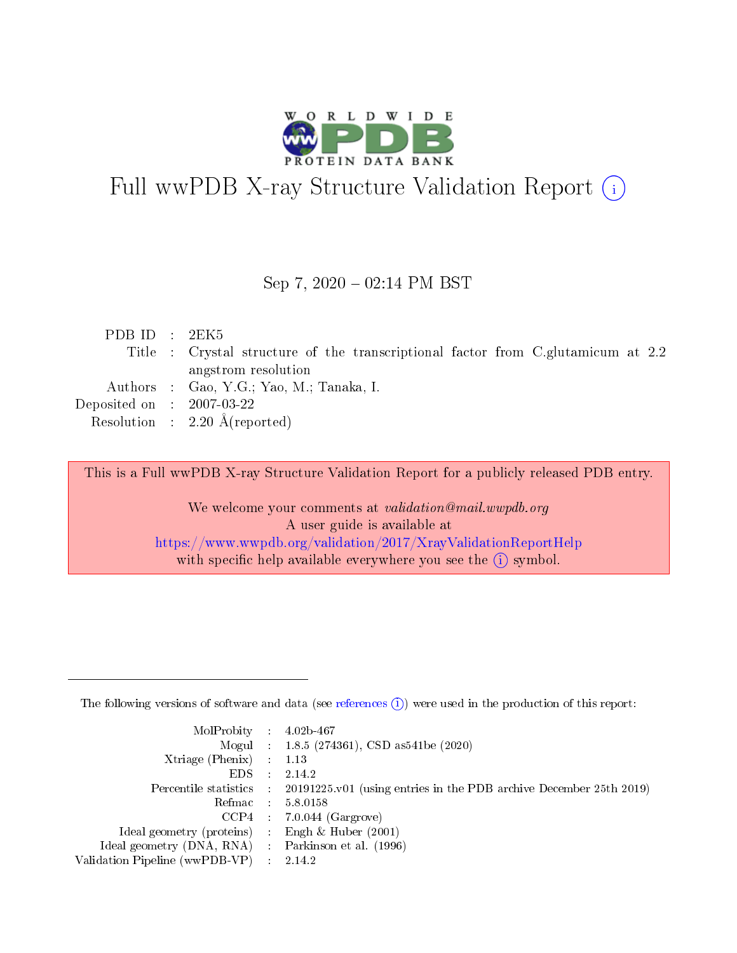

# Full wwPDB X-ray Structure Validation Report (i)

#### Sep  $7, 2020 - 02:14$  PM BST

| PDBID : 2EK5                         |                                                                                  |
|--------------------------------------|----------------------------------------------------------------------------------|
|                                      | Title : Crystal structure of the transcriptional factor from C.glutamicum at 2.2 |
|                                      | angstrom resolution                                                              |
|                                      | Authors : Gao, Y.G.; Yao, M.; Tanaka, I.                                         |
| Deposited on $\therefore$ 2007-03-22 |                                                                                  |
|                                      | Resolution : $2.20 \text{ Å}$ (reported)                                         |
|                                      |                                                                                  |

This is a Full wwPDB X-ray Structure Validation Report for a publicly released PDB entry.

We welcome your comments at validation@mail.wwpdb.org A user guide is available at <https://www.wwpdb.org/validation/2017/XrayValidationReportHelp> with specific help available everywhere you see the  $(i)$  symbol.

The following versions of software and data (see [references](https://www.wwpdb.org/validation/2017/XrayValidationReportHelp#references)  $(1)$ ) were used in the production of this report:

| MolProbity : $4.02b-467$                            |                 |                                                                                            |
|-----------------------------------------------------|-----------------|--------------------------------------------------------------------------------------------|
|                                                     |                 | Mogul : 1.8.5 (274361), CSD as 541be (2020)                                                |
| Xtriage (Phenix)                                    |                 | 1.13                                                                                       |
| EDS.                                                | -11             | 2.14.2                                                                                     |
|                                                     |                 | Percentile statistics : 20191225.v01 (using entries in the PDB archive December 25th 2019) |
| Refmac $5.8.0158$                                   |                 |                                                                                            |
| CCP4                                                |                 | $7.0.044$ (Gargrove)                                                                       |
| Ideal geometry (proteins)                           | $\mathcal{A}$ . | Engh $\&$ Huber (2001)                                                                     |
| Ideal geometry (DNA, RNA) : Parkinson et al. (1996) |                 |                                                                                            |
| Validation Pipeline (wwPDB-VP) : 2.14.2             |                 |                                                                                            |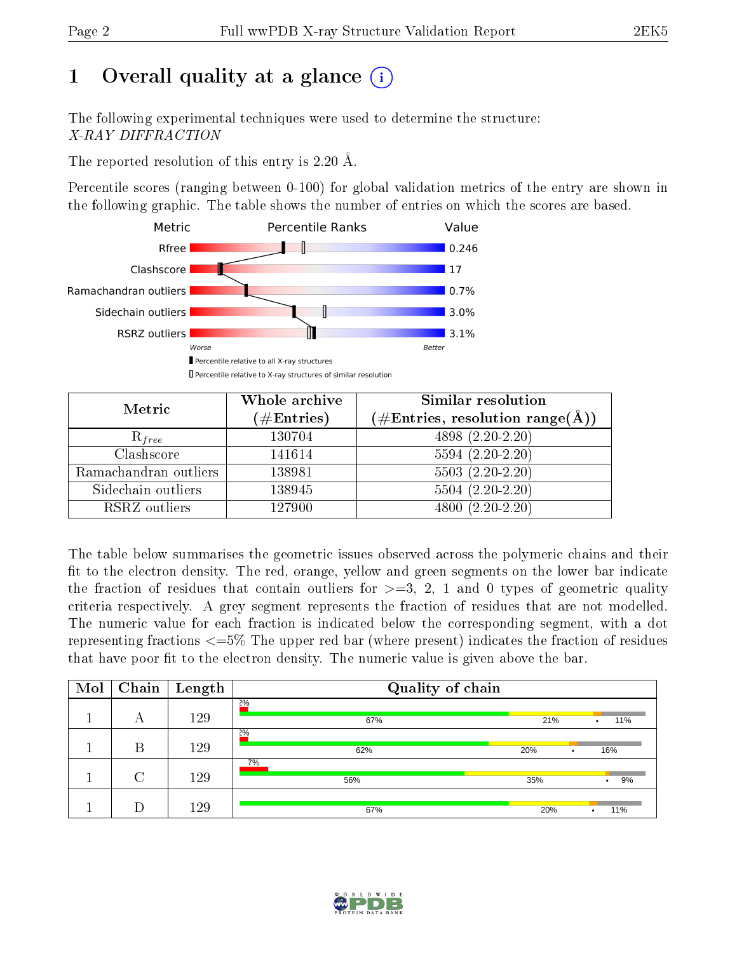# 1 [O](https://www.wwpdb.org/validation/2017/XrayValidationReportHelp#overall_quality)verall quality at a glance  $(i)$

The following experimental techniques were used to determine the structure: X-RAY DIFFRACTION

The reported resolution of this entry is 2.20 Å.

Percentile scores (ranging between 0-100) for global validation metrics of the entry are shown in the following graphic. The table shows the number of entries on which the scores are based.



| Metric                | Whole archive<br>$(\#\text{Entries})$ | Similar resolution<br>$(\#\text{Entries},\,\text{resolution}\,\,\text{range}(\textup{\AA}))$ |  |  |
|-----------------------|---------------------------------------|----------------------------------------------------------------------------------------------|--|--|
| $R_{free}$            | 130704                                | 4898 (2.20-2.20)                                                                             |  |  |
| Clashscore            | 141614                                | $5594(2.20-2.20)$                                                                            |  |  |
| Ramachandran outliers | 138981                                | $5503 (2.20-2.20)$                                                                           |  |  |
| Sidechain outliers    | 138945                                | $5504(2.20-2.20)$                                                                            |  |  |
| RSRZ outliers         | 127900                                | $4800(2.20-2.20)$                                                                            |  |  |

The table below summarises the geometric issues observed across the polymeric chains and their fit to the electron density. The red, orange, yellow and green segments on the lower bar indicate the fraction of residues that contain outliers for  $>=3, 2, 1$  and 0 types of geometric quality criteria respectively. A grey segment represents the fraction of residues that are not modelled. The numeric value for each fraction is indicated below the corresponding segment, with a dot representing fractions <=5% The upper red bar (where present) indicates the fraction of residues that have poor fit to the electron density. The numeric value is given above the bar.

| Mol | Chain  | $\mathbf{Length}$ | Quality of chain |          |                  |  |  |  |
|-----|--------|-------------------|------------------|----------|------------------|--|--|--|
|     | А      | 129               | 2%<br>67%        | 21%      | 11%<br>$\bullet$ |  |  |  |
|     | В      | 129               | 2%<br>62%        | 20%<br>٠ | 16%              |  |  |  |
|     | $\cap$ | 129               | 7%<br>56%        | 35%      | 9%<br>$\bullet$  |  |  |  |
|     |        | 129               | 67%              | 20%      | 11%<br>$\bullet$ |  |  |  |

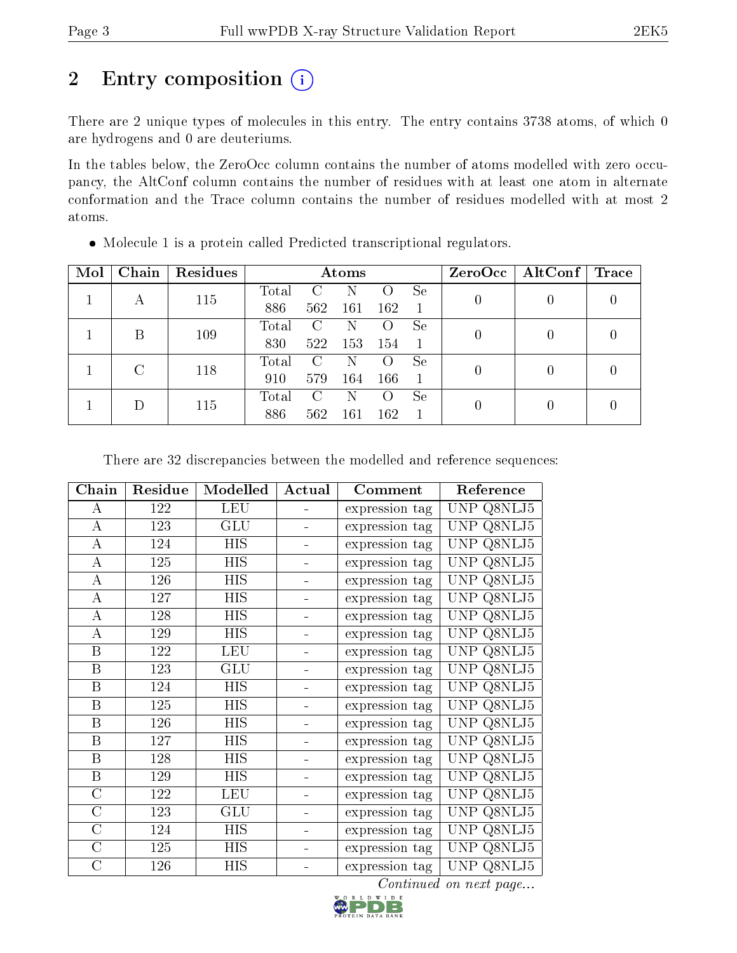# 2 Entry composition (i)

There are 2 unique types of molecules in this entry. The entry contains 3738 atoms, of which 0 are hydrogens and 0 are deuteriums.

In the tables below, the ZeroOcc column contains the number of atoms modelled with zero occupancy, the AltConf column contains the number of residues with at least one atom in alternate conformation and the Trace column contains the number of residues modelled with at most 2 atoms.

| Mol | Chain | Residues | Atoms |     |     |     |    |   | $ZeroOcc$   AltConf | $\operatorname{Trace}$ |
|-----|-------|----------|-------|-----|-----|-----|----|---|---------------------|------------------------|
|     |       | 115      | Total | G   |     |     | Se |   |                     |                        |
|     | А     |          | 886   | 562 | 161 | 162 |    |   |                     |                        |
|     | В     | 109      | Total | C   | N   |     | Se |   |                     |                        |
|     |       |          | 830   | 522 | 153 | 154 |    |   |                     |                        |
|     |       | C<br>118 | Total | C   | N   |     | Se |   |                     |                        |
|     |       |          | 910   | 579 | 164 | 166 |    |   |                     |                        |
|     |       | 115      | Total | C   |     |     | Se | 0 |                     |                        |
|     |       |          | 886   | 562 | 161 | 162 |    |   |                     |                        |

Molecule 1 is a protein called Predicted transcriptional regulators.

There are 32 discrepancies between the modelled and reference sequences:

| Chain            | Residue | Modelled   | Actual | Comment        | Reference            |
|------------------|---------|------------|--------|----------------|----------------------|
| $\bf{A}$         | 122     | LEU        |        | expression tag | Q8NLJ5<br><b>UNP</b> |
| $\bf{A}$         | 123     | <b>GLU</b> |        | expression tag | Q8NLJ5<br><b>UNP</b> |
| A                | 124     | <b>HIS</b> |        | expression tag | Q8NLJ5<br><b>UNP</b> |
| $\bf{A}$         | 125     | <b>HIS</b> |        | expression tag | Q8NLJ5<br><b>UNP</b> |
| $\boldsymbol{A}$ | 126     | HIS        |        | expression tag | Q8NLJ5<br><b>UNP</b> |
| $\boldsymbol{A}$ | 127     | <b>HIS</b> |        | expression tag | Q8NLJ5<br><b>UNP</b> |
| $\bf{A}$         | 128     | <b>HIS</b> |        | expression tag | Q8NLJ5<br><b>UNP</b> |
| A                | 129     | HIS        |        | expression tag | Q8NLJ5<br><b>UNP</b> |
| $\boldsymbol{B}$ | 122     | <b>LEU</b> |        | expression tag | Q8NLJ5<br><b>UNP</b> |
| $\boldsymbol{B}$ | 123     | <b>GLU</b> |        | expression tag | Q8NLJ5<br>UNP        |
| B                | 124     | <b>HIS</b> |        | expression tag | Q8NLJ5<br><b>UNP</b> |
| $\boldsymbol{B}$ | 125     | <b>HIS</b> |        | expression tag | Q8NLJ5<br><b>UNP</b> |
| $\boldsymbol{B}$ | 126     | <b>HIS</b> |        | expression tag | Q8NLJ5<br>UNP        |
| B                | 127     | <b>HIS</b> |        | expression tag | Q8NLJ5<br>UNP        |
| $\boldsymbol{B}$ | 128     | <b>HIS</b> |        | expression tag | Q8NLJ5<br>UNP        |
| B                | 129     | HIS        |        | expression tag | Q8NLJ5<br>UNP        |
| $\mathcal{C}$    | 122     | <b>LEU</b> |        | expression tag | Q8NLJ5<br><b>UNP</b> |
| $\overline{C}$   | 123     | <b>GLU</b> |        | expression tag | Q8NLJ5<br>UNP        |
| $\overline{C}$   | 124     | HIS        |        | expression tag | Q8NLJ5<br>UNP        |
| $\overline{C}$   | 125     | HIS        |        | expression tag | Q8NLJ5<br>UNP        |
| С                | 126     | HIS        |        | expression tag | UNP Q8NLJ5           |

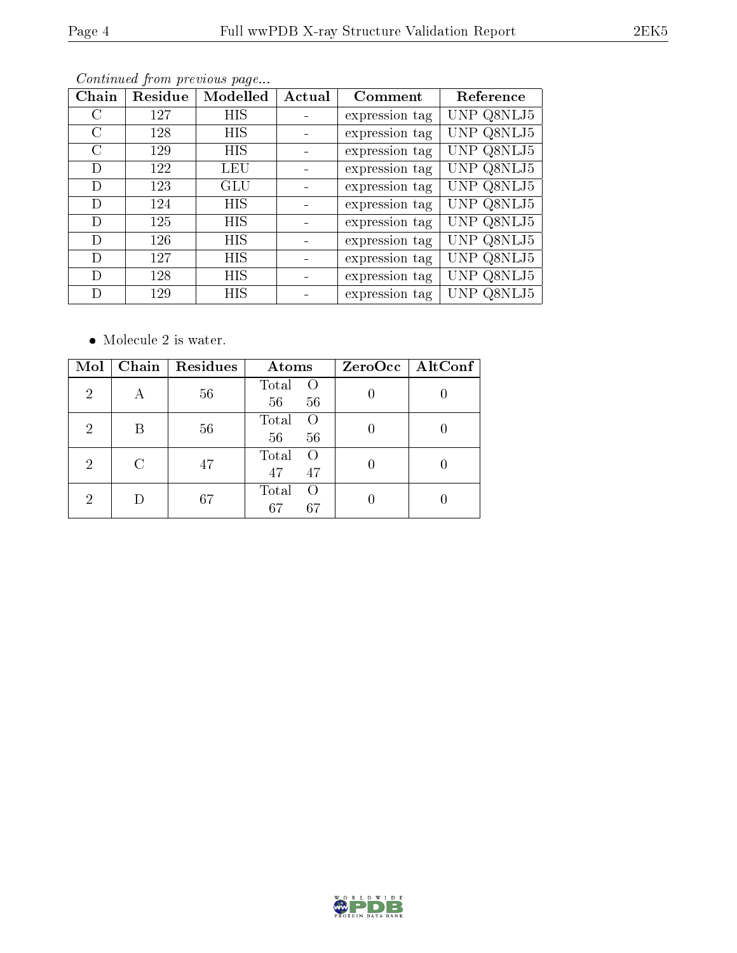| Chain         | Residue | Modelled   | Actual | Comment        | Reference  |
|---------------|---------|------------|--------|----------------|------------|
| C             | 127     | HIS        |        | expression tag | UNP Q8NLJ5 |
| С             | 128     | HIS        |        | expression tag | UNP Q8NLJ5 |
| $\mathcal{C}$ | 129     | HIS        |        | expression tag | UNP Q8NLJ5 |
| D             | 122     | LEU        |        | expression tag | UNP Q8NLJ5 |
| D             | 123     | GLU        |        | expression tag | UNP Q8NLJ5 |
| D             | 124     | <b>HIS</b> |        | expression tag | UNP Q8NLJ5 |
| D             | 125     | <b>HIS</b> |        | expression tag | UNP Q8NLJ5 |
| D             | 126     | HIS        |        | expression tag | UNP Q8NLJ5 |
| D             | 127     | <b>HIS</b> |        | expression tag | UNP Q8NLJ5 |
| D             | 128     | HIS        |        | expression tag | UNP Q8NLJ5 |
| D             | 129     | HIS        |        | expression tag | UNP Q8NLJ5 |

 $\bullet\,$  Molecule 2 is water.

| Mol            | Chain   $Residues$ | Atoms                          | $ZeroOcc$   AltConf |
|----------------|--------------------|--------------------------------|---------------------|
| $\overline{2}$ | 56                 | Total<br>56 <sup>°</sup><br>56 |                     |
| 2              | 56                 | Total<br>56<br>56              |                     |
| 2              | 47                 | Total<br>47<br>47              |                     |
| 2              | 67                 | Total<br>67<br>67              |                     |



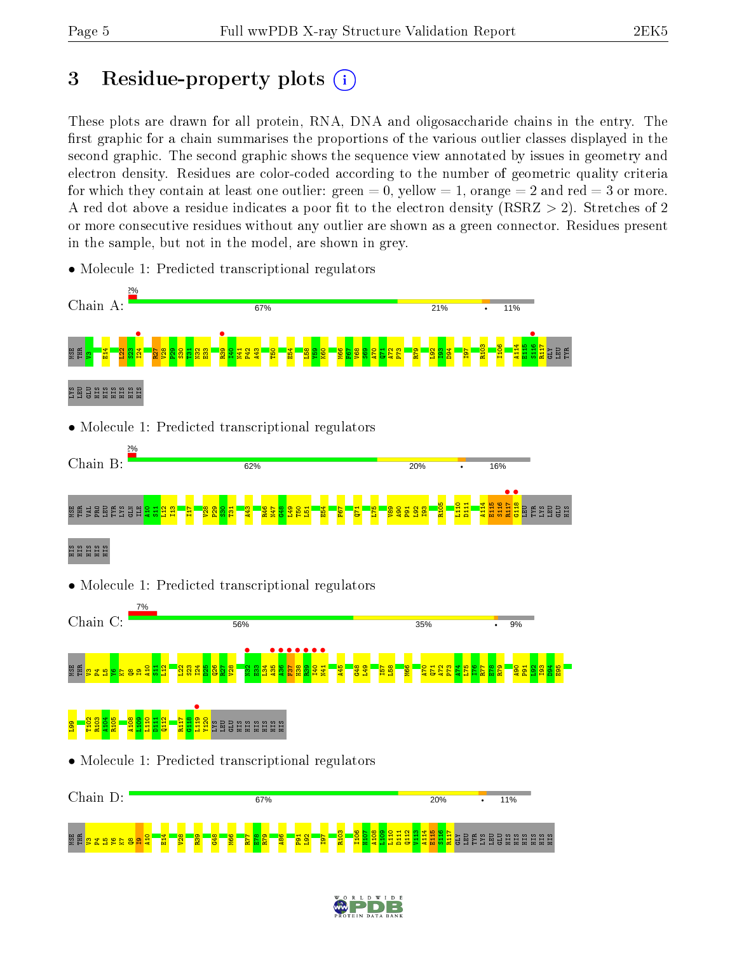# 3 Residue-property plots  $(i)$

These plots are drawn for all protein, RNA, DNA and oligosaccharide chains in the entry. The first graphic for a chain summarises the proportions of the various outlier classes displayed in the second graphic. The second graphic shows the sequence view annotated by issues in geometry and electron density. Residues are color-coded according to the number of geometric quality criteria for which they contain at least one outlier: green  $= 0$ , yellow  $= 1$ , orange  $= 2$  and red  $= 3$  or more. A red dot above a residue indicates a poor fit to the electron density ( $\text{RSRZ} > 2$ ). Stretches of 2 or more consecutive residues without any outlier are shown as a green connector. Residues present in the sample, but not in the model, are shown in grey.



• Molecule 1: Predicted transcriptional regulators

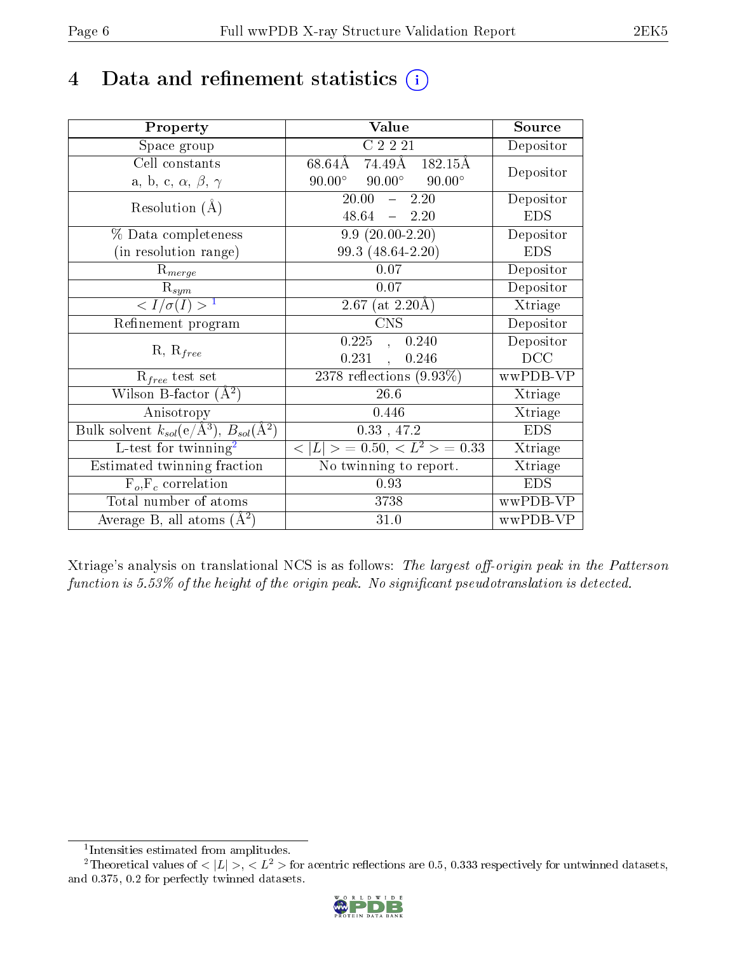# 4 Data and refinement statistics  $(i)$

| Property                                                         | Value                                            | Source     |
|------------------------------------------------------------------|--------------------------------------------------|------------|
| Space group                                                      | $\overline{C}$ 2 2 2 1                           | Depositor  |
| Cell constants                                                   | 68.64Å 74.49Å 182.15Å                            | Depositor  |
| a, b, c, $\alpha$ , $\beta$ , $\gamma$                           | $90.00^{\circ}$ $90.00^{\circ}$<br>$90.00^\circ$ |            |
| Resolution $(A)$                                                 | 20.00<br>$-2.20$                                 | Depositor  |
|                                                                  | 48.64<br>$-2.20$                                 | <b>EDS</b> |
| % Data completeness                                              | $9.9(20.00-2.20)$                                | Depositor  |
| (in resolution range)                                            | 99.3 (48.64-2.20)                                | <b>EDS</b> |
| $R_{merge}$                                                      | 0.07                                             | Depositor  |
| $\mathrm{R}_{sym}$                                               | 0.07                                             | Depositor  |
| $\langle I/\sigma(I) \rangle^{-1}$                               | $2.67$ (at $2.20\text{\AA}$ )                    | Xtriage    |
| Refinement program                                               | <b>CNS</b>                                       | Depositor  |
|                                                                  | 0.225<br>0.240<br>$\frac{1}{2}$                  | Depositor  |
| $R, R_{free}$                                                    | 0.231<br>0.246<br>$\mathbf{r}$                   | DCC        |
| $R_{free}$ test set                                              | 2378 reflections $(9.93\%)$                      | wwPDB-VP   |
| Wilson B-factor $(A^2)$                                          | 26.6                                             | Xtriage    |
| Anisotropy                                                       | 0.446                                            | Xtriage    |
| Bulk solvent $k_{sol}(\text{e}/\text{A}^3), B_{sol}(\text{A}^2)$ | 0.33, 47.2                                       | <b>EDS</b> |
| L-test for $\mathrm{twinning}^2$                                 | $< L >$ = 0.50, $< L2$ > = 0.33                  | Xtriage    |
| Estimated twinning fraction                                      | No twinning to report.                           | Xtriage    |
| $\overline{F_o}, \overline{F_c}$ correlation                     | 0.93                                             | <b>EDS</b> |
| Total number of atoms                                            | 3738                                             | wwPDB-VP   |
| Average B, all atoms $(A^2)$                                     | 31.0                                             | wwPDB-VP   |

Xtriage's analysis on translational NCS is as follows: The largest off-origin peak in the Patterson function is  $5.53\%$  of the height of the origin peak. No significant pseudotranslation is detected.

<sup>&</sup>lt;sup>2</sup>Theoretical values of  $\langle |L| \rangle$ ,  $\langle L^2 \rangle$  for acentric reflections are 0.5, 0.333 respectively for untwinned datasets, and 0.375, 0.2 for perfectly twinned datasets.



<span id="page-5-1"></span><span id="page-5-0"></span><sup>1</sup> Intensities estimated from amplitudes.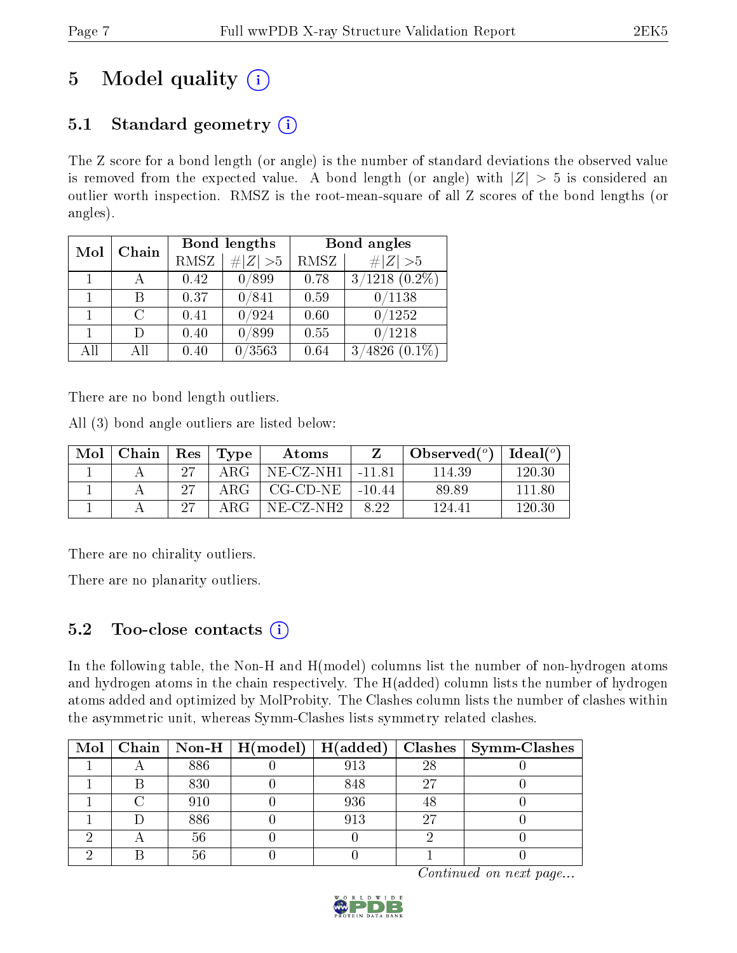# 5 Model quality  $(i)$

# 5.1 Standard geometry  $(i)$

The Z score for a bond length (or angle) is the number of standard deviations the observed value is removed from the expected value. A bond length (or angle) with  $|Z| > 5$  is considered an outlier worth inspection. RMSZ is the root-mean-square of all Z scores of the bond lengths (or angles).

| Mol | Chain  |      | Bond lengths | Bond angles |                        |  |
|-----|--------|------|--------------|-------------|------------------------|--|
|     |        | RMSZ | $\# Z  > 5$  | RMSZ        | $\# Z >5$              |  |
| 1   |        | 0.42 | 0/899        | 0.78        | $3/1218$ $(0.2\%)$     |  |
|     | В      | 0.37 | 0/841        | 0.59        | 0/1138                 |  |
|     | C      | 0.41 | 0/924        | 0.60        | 0/1252                 |  |
|     | $\Box$ | 0.40 | 0/899        | 0.55        | 0/1218                 |  |
| All | Αll    | 0.40 | /3563        | 0.64        | 4826<br>$(0.1\%)$<br>3 |  |

There are no bond length outliers.

All (3) bond angle outliers are listed below:

| Mol | Chain   $\operatorname{Res}$ |     | $\mathbf{T}$ Type | Atoms     |          | Observed $(°)$ | $\perp$ Ideal( $\overline{^{\circ}}$ ). |
|-----|------------------------------|-----|-------------------|-----------|----------|----------------|-----------------------------------------|
|     |                              | 97  | A R.G             | NE-CZ-NH1 | $-1181$  | 114.39         | 120.30                                  |
|     |                              | -97 | A R.G             | CG-CD-NE  | $-10.44$ | 89.89          | 111.80                                  |
|     |                              | -97 | ARG               | NE-CZ-NH2 | 8.22     | 124.41         | 120.30                                  |

There are no chirality outliers.

There are no planarity outliers.

# 5.2 Too-close contacts  $(i)$

In the following table, the Non-H and H(model) columns list the number of non-hydrogen atoms and hydrogen atoms in the chain respectively. The H(added) column lists the number of hydrogen atoms added and optimized by MolProbity. The Clashes column lists the number of clashes within the asymmetric unit, whereas Symm-Clashes lists symmetry related clashes.

|  |        | Mol   Chain   Non-H   H(model) $ \overline{H(\text{added})} $ |     |    | $\mid$ Clashes $\mid$ Symm-Clashes |
|--|--------|---------------------------------------------------------------|-----|----|------------------------------------|
|  | 886    |                                                               | 913 | 28 |                                    |
|  | 830    |                                                               | 848 | 27 |                                    |
|  | 910    |                                                               | 936 |    |                                    |
|  | 886    |                                                               | 913 | 27 |                                    |
|  | $56\,$ |                                                               |     |    |                                    |
|  | 56     |                                                               |     |    |                                    |

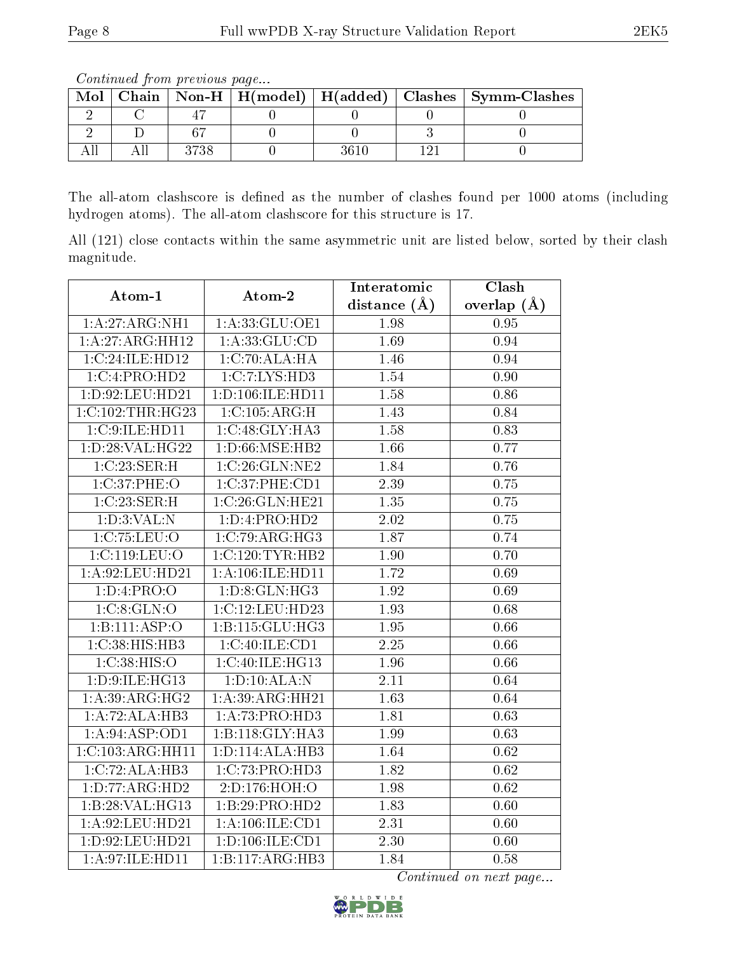Continued from previous page...

| Mol |        |  | $\mid$ Chain $\mid$ Non-H $\mid$ H(model) $\mid$ H(added) $\mid$ Clashes $\mid$ Symm-Clashes $\mid$ |
|-----|--------|--|-----------------------------------------------------------------------------------------------------|
|     |        |  |                                                                                                     |
|     | $\sim$ |  |                                                                                                     |
|     |        |  |                                                                                                     |

The all-atom clashscore is defined as the number of clashes found per 1000 atoms (including hydrogen atoms). The all-atom clashscore for this structure is 17.

All (121) close contacts within the same asymmetric unit are listed below, sorted by their clash magnitude.

| Atom-1                     | Atom-2                       | Interatomic       | Clash         |
|----------------------------|------------------------------|-------------------|---------------|
|                            |                              | distance $(A)$    | overlap $(A)$ |
| 1:A:27:ARG:NH1             | 1:A:33:GLU:OE1               | 1.98              | 0.95          |
| 1:A:27:ARG:HH12            | 1:A:33:GLU:CD                | $\overline{1.69}$ | 0.94          |
| 1:C:24:ILE:HD12            | 1:C:70:ALA:HA                | 1.46              | 0.94          |
| 1:C:4:PRO:HD2              | 1:C:7:LYS:HD3                | 1.54              | 0.90          |
| 1:D:92:LEU:HD21            | 1:D:106:ILE:HD11             | 1.58              | 0.86          |
| 1:C:102:THR:HG23           | 1:C:105:ARG:H                | 1.43              | 0.84          |
| 1: C:9: ILE: HD11          | 1:C:48:GLY:HA3               | 1.58              | 0.83          |
| 1: D:28: VAL:HG22          | 1:D:66:MSE:HB2               | 1.66              | 0.77          |
| 1:C:23:SER:H               | 1:C:26:GLN:NE2               | 1.84              | 0.76          |
| 1:C:37:PHE:O               | 1:C:37:PHE:CD1               | 2.39              | 0.75          |
| 1:C:23:SER:H               | 1:C:26:GLN:HE21              | 1.35              | 0.75          |
| 1: D:3: VAL: N             | 1:D:4:PRO:HD2                | 2.02              | 0.75          |
| 1:C:75:LEU:O               | 1:C:79:ARG:HG3               | 1.87              | 0.74          |
| 1:C:119:LEU:O              | 1:C:120:TYR:HB2              | 1.90              | 0.70          |
| 1: A:92: LEU: HD21         | 1: A:106: ILE: HDI1          | 1.72              | 0.69          |
| 1:D:4:PRO:O                | 1: D: 8: GLN: HG3            | 1.92              | 0.69          |
| 1:C:8:GLN:O                | 1:C:12:LEU:HD23              | 1.93              | 0.68          |
| $1:B:111:A\overline{SP:O}$ | 1:B:115:GLU:HG3              | 1.95              | 0.66          |
| 1:C:38:HIS:HB3             | 1:C:40:ILE:CD1               | $\overline{2.25}$ | 0.66          |
| 1:C:38:HIS:O               | 1:C:40:ILE:HG13              | 1.96              | 0.66          |
| 1: D:9: ILE: HG13          | 1: D: 10: ALA: N             | 2.11              | 0.64          |
| 1:A:39:ARG:HG2             | 1:A:39:ARG:HH21              | 1.63              | 0.64          |
| 1:A:72:ALA:HB3             | 1:A:73:PRO:HD3               | 1.81              | 0.63          |
| 1: A:94: ASP:OD1           | 1:B:118:GLY:HA3              | 1.99              | 0.63          |
| 1:C:103:ARG:HH11           | 1:D:114:ALA:HB3              | 1.64              | 0.62          |
| 1:C:72:ALA:HB3             | 1:C:73:PRO:HD3               | 1.82              | 0.62          |
| 1: D: 77: ARG: HD2         | 2:D:176:HOH:O                | 1.98              | 0.62          |
| 1:B:28:VAL:HG13            | 1:B:29:PRO:HD2               | 1.83              | 0.60          |
| 1:A:92:LEU:HD21            | $1:A:\overline{106:ILE:CD1}$ | 2.31              | 0.60          |
| 1:D:92:LEU:HD21            | 1: D: 106: ILE: CD1          | 2.30              | 0.60          |
| 1: A:97: ILE: HD11         | 1:B:117:ARG:HB3              | 1.84              | 0.58          |

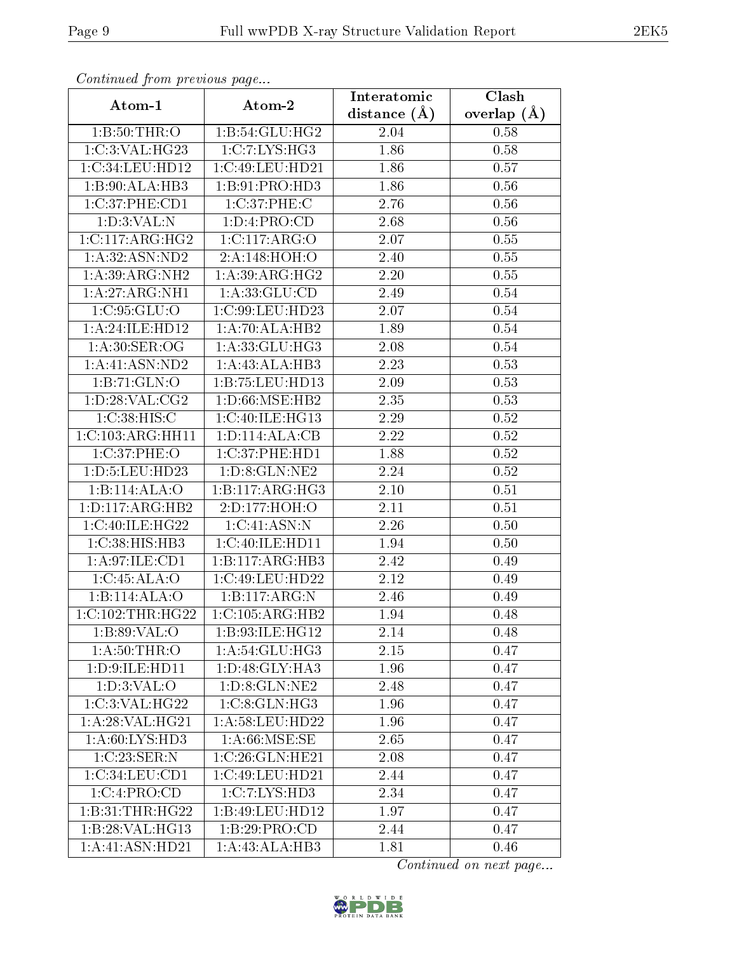| Communaca from previous page |                    | Interatomic       | Clash           |  |
|------------------------------|--------------------|-------------------|-----------------|--|
| Atom-1                       | Atom-2             | distance $(\AA)$  | overlap $(\AA)$ |  |
| 1: B:50:THR:O                | 1:B:54:GLU:HG2     | 2.04              | 0.58            |  |
| 1:C:3:VAL:HG23               | 1:C:7:LYS:HG3      | 1.86              | 0.58            |  |
| $1: C: 34:$ LEU:HD12         | 1:C:49:LEU:HD21    | 1.86              | 0.57            |  |
| 1:B:90:ALA:HB3               | 1:B:91:PRO:HD3     | 1.86              | 0.56            |  |
| 1:C:37:PHE:CD1               | $1:C:37:$ PHE:C    | 2.76              | 0.56            |  |
| 1: D:3: VAL: N               | 1: D: 4: PRO: CD   | 2.68              | 0.56            |  |
| 1:C:117:ARG:HG2              | 1:C:117:ARG:O      | 2.07              | 0.55            |  |
| 1:A:32:ASN:ND2               | 2:A:148:HOH:O      | 2.40              | 0.55            |  |
| 1: A:39: ARG: NH2            | 1: A:39: ARG: HG2  | $2.20\,$          | 0.55            |  |
| 1:A:27:ARG:NH1               | 1: A:33: GLU:CD    | 2.49              | 0.54            |  |
| 1:C:95:GLU:O                 | 1:C:99:LEU:HD23    | 2.07              | 0.54            |  |
| 1:A:24:ILE:HD12              | 1:A:70:ALA:HB2     | 1.89              | 0.54            |  |
| 1: A:30: SER:OG              | 1:A:33:GLU:HG3     | 2.08              | 0.54            |  |
| 1: A: 41: ASN: ND2           | 1:A:43:ALA:HB3     | $2.\overline{23}$ | 0.53            |  |
| 1:B:71:GLN:O                 | 1:B:75:LEU:HD13    | 2.09              | 0.53            |  |
| 1: D:28: VAL:CG2             | 1:D:66:MSE:HB2     | 2.35              | 0.53            |  |
| 1:C:38:HIS:C                 | 1:C:40:ILE:HG13    | 2.29              | 0.52            |  |
| 1:C:103:ARG:HH11             | 1: D: 114: ALA: CB | 2.22              | 0.52            |  |
| 1:C:37:PHE:O                 | 1:C:37:PHE:HD1     | 1.88              | 0.52            |  |
| 1: D: 5: LEU: HD23           | 1: D: 8: GLN: NE2  | 2.24              | 0.52            |  |
| 1:B:114:ALA:O                | 1:B:117:ARG:HG3    | 2.10              | 0.51            |  |
| 1: D: 117: ARG: HB2          | 2:D:177:HOH:O      | 2.11              | 0.51            |  |
| 1:C:40:ILE:HG22              | 1:C:41:ASN:N       | 2.26              | 0.50            |  |
| 1:C:38:HIS:HB3               | 1:C:40:ILE:HD11    | 1.94              | 0.50            |  |
| 1: A:97: ILE: CD1            | 1:B:117:ARG:HB3    | 2.42              | 0.49            |  |
| 1:C:45:ALA:O                 | 1:C:49:LEU:HD22    | 2.12              | 0.49            |  |
| 1:B:114:ALA:0                | 1:B:117:ARG:N      | 2.46              | 0.49            |  |
| 1:C:102:THR:HG22             | 1:C:105:ARG:HB2    | 1.94              | 0.48            |  |
| 1:B:89:VAL:O                 | 1:B:93:ILE:HG12    | 2.14              | 0.48            |  |
| 1: A:50:THR:O                | 1: A:54: GLU:HG3   | 2.15              | 0.47            |  |
| 1:D:9:ILE:HD11               | 1:D:48:GLY:HA3     | 1.96              | 0.47            |  |
| $1: D:3: V\overline{AL:O}$   | 1: D: 8: GLN: NE2  | 2.48              | 0.47            |  |
| $1:C:3:VAL: \overline{HG22}$ | 1: C:8: GLN: HG3   | 1.96              | 0.47            |  |
| 1: A:28:VAL:HG21             | 1: A:58:LEU:HD22   | 1.96              | 0.47            |  |
| 1: A:60: LYS: HD3            | 1: A:66: MSE:SE    | 2.65              | 0.47            |  |
| 1:C:23:SER:N                 | 1:C:26:GLN:HE21    | 2.08              | 0.47            |  |
| 1:C:34:LEU:CD1               | 1:C:49:LEU:HD21    | 2.44              | 0.47            |  |
| 1:C:4:PRO:CD                 | 1:C:7:LYS:HD3      | 2.34              | 0.47            |  |
| 1:B:31:THR:HG22              | 1:B:49:LEU:HD12    | 1.97              | 0.47            |  |
| 1:B:28:VAL:HG13              | 1:B:29:PRO:CD      | 2.44              | 0.47            |  |
| 1:A:41:ASN:HD21              | 1:A:43:ALA:HB3     | 1.81              | 0.46            |  |

Continued from previous page.

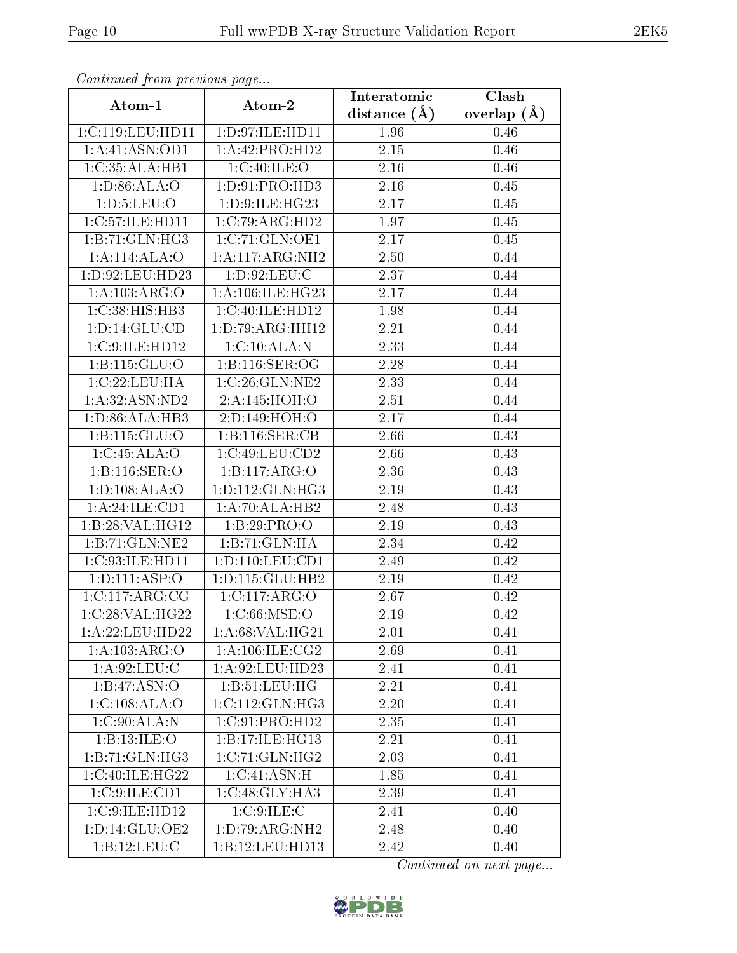| Continuou jiom protivus pugo |                     | Interatomic       | Clash           |  |
|------------------------------|---------------------|-------------------|-----------------|--|
| Atom-1                       | Atom-2              | distance $(A)$    | overlap $(\AA)$ |  |
| 1:C:119:LEU:HD11             | 1:D:97:ILE:HD11     | 1.96              | 0.46            |  |
| 1:A:41:ASN:OD1               | 1:A:42:PRO:HD2      | 2.15              | 0.46            |  |
| 1:C:35:ALA:HB1               | 1:C:40:ILE:O        | 2.16              | 0.46            |  |
| 1: D:86: ALA:O               | 1: D: 91: PRO: HD3  | 2.16              | 0.45            |  |
| 1: D: 5: LEU: O              | 1:D:9:ILE:HG23      | 2.17              | 0.45            |  |
| 1:C:57:ILE:HD11              | 1:C:79:ARG:HD2      | 1.97              | 0.45            |  |
| 1:B:71:GLN:HG3               | 1:C:71:GLN:OE1      | 2.17              | 0.45            |  |
| 1:A:114:ALA:O                | 1:A:117:ARG:NH2     | 2.50              | 0.44            |  |
| 1:D:92:LEU:HD23              | 1:D:92:LEU:C        | 2.37              | 0.44            |  |
| 1:A:103:ARG:O                | 1:A:106:ILE:HG23    | 2.17              | 0.44            |  |
| 1:C:38:HIS:HB3               | 1:C:40:ILE:HD12     | 1.98              | 0.44            |  |
| 1: D: 14: GLU: CD            | 1:D:79:ARG:HH12     | 2.21              | 0.44            |  |
| 1:C:9:ILE:HD12               | 1:C:10:ALA:N        | 2.33              | 0.44            |  |
| $1:B:115:\overline{GLU:O}$   | 1:Bi:116:SER:OG     | 2.28              | 0.44            |  |
| 1:C:22:LEU:HA                | 1:C:26:GLN:NE2      | 2.33              | 0.44            |  |
| 1:A:32:ASN:ND2               | 2:A:145:HOH:O       | 2.51              | 0.44            |  |
| 1: D:86: ALA:HB3             | 2:D:149:HOH:O       | 2.17              | 0.44            |  |
| 1: B: 115: GLU: O            | 1:B:116:SER:CB      | 2.66              | 0.43            |  |
| 1:C:45:ALA:O                 | 1:C:49:LEU:CD2      | 2.66              | 0.43            |  |
| 1:B:116:SER:O                | 1:B:117:ARG:O       | 2.36              | 0.43            |  |
| 1: D: 108: ALA: O            | 1: D: 112: GLN: HG3 | 2.19              | 0.43            |  |
| 1: A:24: ILE: CD1            | 1:A:70:ALA:HB2      | 2.48              | 0.43            |  |
| 1:B:28:VAL:HG12              | 1:B:29:PRO:O        | 2.19              | 0.43            |  |
| 1:B:71:GLN:NE2               | 1:B:71:GLN:HA       | 2.34              | 0.42            |  |
| 1:C:93:ILE:HD11              | 1: D: 110: LEU: CD1 | 2.49              | 0.42            |  |
| 1: D: 111: ASP: O            | 1: D: 115: GLU: HB2 | 2.19              | 0.42            |  |
| 1:C:117:ARG:CG               | 1:C:117:ARG:O       | 2.67              | 0.42            |  |
| 1:C:28:VAL:HG22              | 1:C:66:MSE:O        | 2.19              | 0.42            |  |
| 1:A:22:LEU:HD22              | 1: A:68: VAL:HG21   | 2.01              | 0.41            |  |
| 1:A:103:ARG:O                | 1: A:106: ILE: CG2  | 2.69              | 0.41            |  |
| 1: A:92:LEU:C                | 1:A:92:LEU:HD23     | 2.41              | 0.41            |  |
| 1:B:47:ASN:O                 | 1: B: 51: LEU: HG   | 2.21              | 0.41            |  |
| 1:C:108:ALA:O                | 1:C:112:GLN:HG3     | 2.20              | 0.41            |  |
| $1:C:90:A\overline{LA:N}$    | 1:C:91:PRO:HD2      | 2.35              | 0.41            |  |
| 1:B:13:ILE:O                 | 1:B:17:ILE:HG13     | 2.21              | 0.41            |  |
| 1:B:71:GLN:HG3               | 1:C:71:GLN:HG2      | $2.\overline{03}$ | 0.41            |  |
| 1:C:40:ILE:HG22              | 1:C:41:ASN:H        | 1.85              | 0.41            |  |
| 1:C:9:ILE:CD1                | 1:C:48:GLY:HA3      | 2.39              | 0.41            |  |
| 1:C:9:ILE:HD12               | 1:C:9:ILE:C         | 2.41              | 0.40            |  |
| 1: D: 14: GLU: OE2           | 1: D:79: ARG: NH2   | 2.48              | 0.40            |  |
| 1:B:12:LEU:C                 | 1:B:12:LEU:HD13     | 2.42              | 0.40            |  |

Continued from previous page.

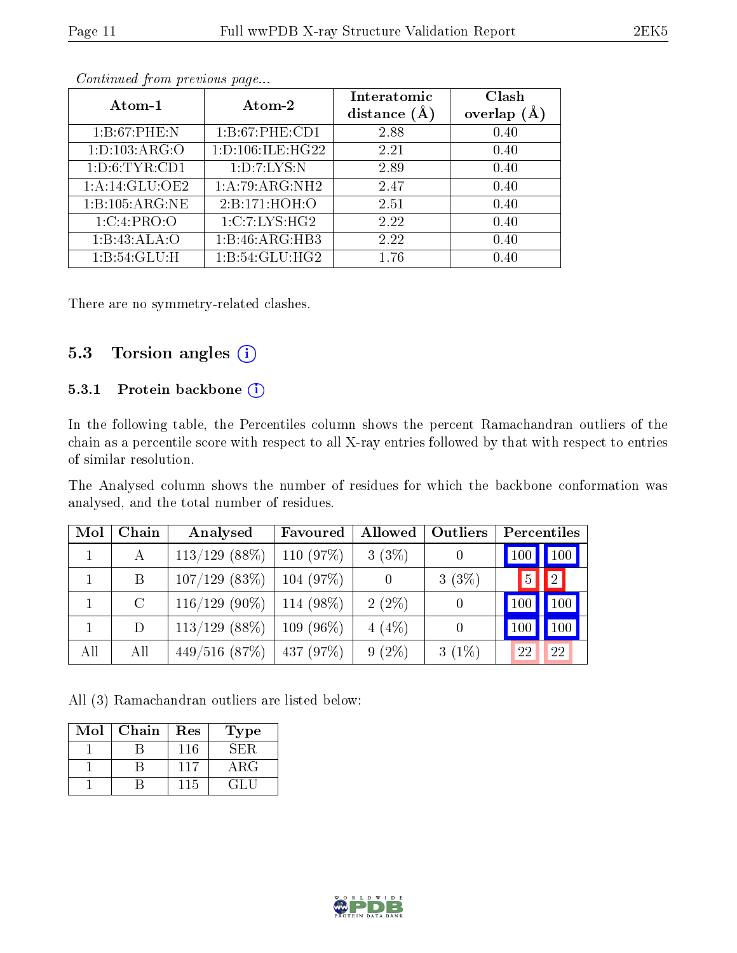|--|

| Atom-1            | Atom-2               | Interatomic<br>distance $(A)$ | Clash<br>overlap<br>(A) |
|-------------------|----------------------|-------------------------------|-------------------------|
| 1:B:67:PHE:N      | 1: B:67: PHE:CD1     | 2.88                          | 0.40                    |
| 1: D: 103: ARG: O | 1: D: 106: ILE: HG22 | 2.21                          | 0.40                    |
| 1: D:6: TYR: CD1  | 1: D: 7: LYS: N      | 2.89                          | 0.40                    |
| 1:A:14:GLU:OE2    | 1: A:79: ARG: NH2    | 2.47                          | 0.40                    |
| 1:B:105:ARG:NE    | 2:B:171:HOH:O        | 2.51                          | 0.40                    |
| 1:C:4:PRO:O       | 1:C:7:LYS:HG2        | 2.22                          | 0.40                    |
| 1:B:43:ALA:O      | 1:B:46:ARG:HB3       | 2.22                          | 0.40                    |
| 1:B:54:GLU:H      | 1:B:54:GLU:HG2       | 1.76                          | 0.40                    |

Continued from previous page...

There are no symmetry-related clashes.

### 5.3 Torsion angles  $(i)$

#### 5.3.1 Protein backbone (i)

In the following table, the Percentiles column shows the percent Ramachandran outliers of the chain as a percentile score with respect to all X-ray entries followed by that with respect to entries of similar resolution.

The Analysed column shows the number of residues for which the backbone conformation was analysed, and the total number of residues.

| Mol | Chain   | Analysed         | Favoured  | Allowed  | <b>Outliers</b> | Percentiles                   |
|-----|---------|------------------|-----------|----------|-----------------|-------------------------------|
|     | А       | $113/129$ (88%)  | 110 (97%) | 3(3%)    |                 | 100                           |
|     | B       | $107/129$ (83\%) | 104 (97%) |          | $3(3\%)$        | $\boxed{2}$<br>$\overline{5}$ |
|     | $\rm C$ | $116/129$ (90%)  | 114 (98%) | $2(2\%)$ |                 | 100<br>$100\,$                |
|     | D       | $113/129$ (88\%) | 109 (96%) | $4(4\%)$ |                 | 100<br>100                    |
| All | All     | 449/516(87%)     | 437 (97%) | $9(2\%)$ | $3(1\%)$        | 22<br>22                      |

All (3) Ramachandran outliers are listed below:

| Mol | Chain | Res | <b>Type</b> |
|-----|-------|-----|-------------|
|     |       | 116 | SER.        |
|     |       | 117 | $\rm{ARG}$  |
|     |       | 115 | 11 L        |

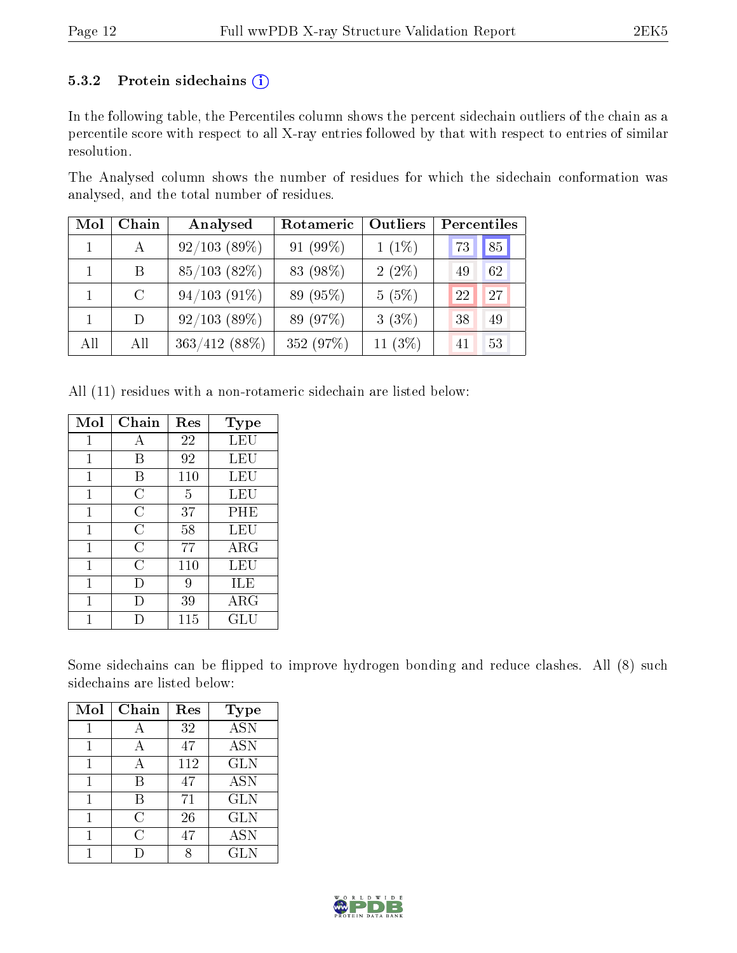#### 5.3.2 Protein sidechains  $(i)$

In the following table, the Percentiles column shows the percent sidechain outliers of the chain as a percentile score with respect to all X-ray entries followed by that with respect to entries of similar resolution.

The Analysed column shows the number of residues for which the sidechain conformation was analysed, and the total number of residues.

| Mol          | Chain   | Analysed          | Rotameric   | Outliers  | Percentiles |    |
|--------------|---------|-------------------|-------------|-----------|-------------|----|
| $\mathbf{1}$ | A       | 92/103(89%)       | 91 $(99\%)$ | $1(1\%)$  | 73          | 85 |
|              | B       | $85/103$ $(82\%)$ | 83 (98%)    | $2(2\%)$  | 49          | 62 |
|              | $\rm C$ | $94/103(91\%)$    | 89 (95%)    | 5(5%)     | 22          | 27 |
|              | D       | 92/103(89%)       | 89 (97%)    | 3(3%)     | 38          | 49 |
| All          | All     | $363/412(88\%)$   | 352 (97%)   | 11 $(3%)$ | 41          | 53 |

All (11) residues with a non-rotameric sidechain are listed below:

| Mol          | Chain          | Res | Type                 |
|--------------|----------------|-----|----------------------|
| 1            | А              | 22  | LEU                  |
| 1            | В              | 92  | <b>LEU</b>           |
| 1            | В              | 110 | LEU                  |
| 1            | C              | 5   | LEU                  |
| 1            | С              | 37  | PHE                  |
| $\mathbf{1}$ | $\overline{C}$ | 58  | LEU                  |
| 1            | $\overline{C}$ | 77  | $\rm{ARG}$           |
| 1            | C              | 110 | LEU                  |
| 1            | I)             | 9   | ILE                  |
| 1            | I)             | 39  | $\rm{ARG}$           |
|              |                | 115 | $\operatorname{GLU}$ |

Some sidechains can be flipped to improve hydrogen bonding and reduce clashes. All (8) such sidechains are listed below:

| Mol | Chain | Res | Type             |
|-----|-------|-----|------------------|
| 1   |       | 32  | $\overline{ASN}$ |
| 1   | А     | 47  | <b>ASN</b>       |
| 1   | А     | 112 | <b>GLN</b>       |
| 1   | R     | 47  | <b>ASN</b>       |
| 1   | R     | 71  | <b>GLN</b>       |
| 1   | С     | 26  | <b>GLN</b>       |
|     | C     | 47  | <b>ASN</b>       |
|     |       |     | <b>GLN</b>       |

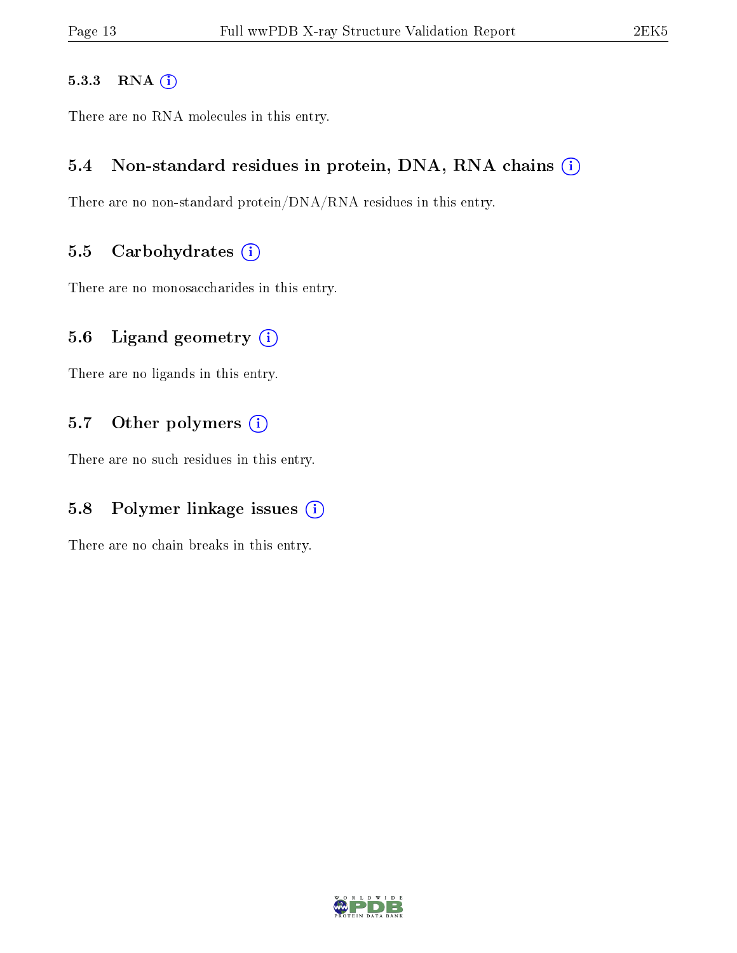#### 5.3.3 RNA [O](https://www.wwpdb.org/validation/2017/XrayValidationReportHelp#rna)i

There are no RNA molecules in this entry.

### 5.4 Non-standard residues in protein, DNA, RNA chains (i)

There are no non-standard protein/DNA/RNA residues in this entry.

#### 5.5 Carbohydrates  $(i)$

There are no monosaccharides in this entry.

### 5.6 Ligand geometry (i)

There are no ligands in this entry.

### 5.7 [O](https://www.wwpdb.org/validation/2017/XrayValidationReportHelp#nonstandard_residues_and_ligands)ther polymers (i)

There are no such residues in this entry.

### 5.8 Polymer linkage issues  $(i)$

There are no chain breaks in this entry.

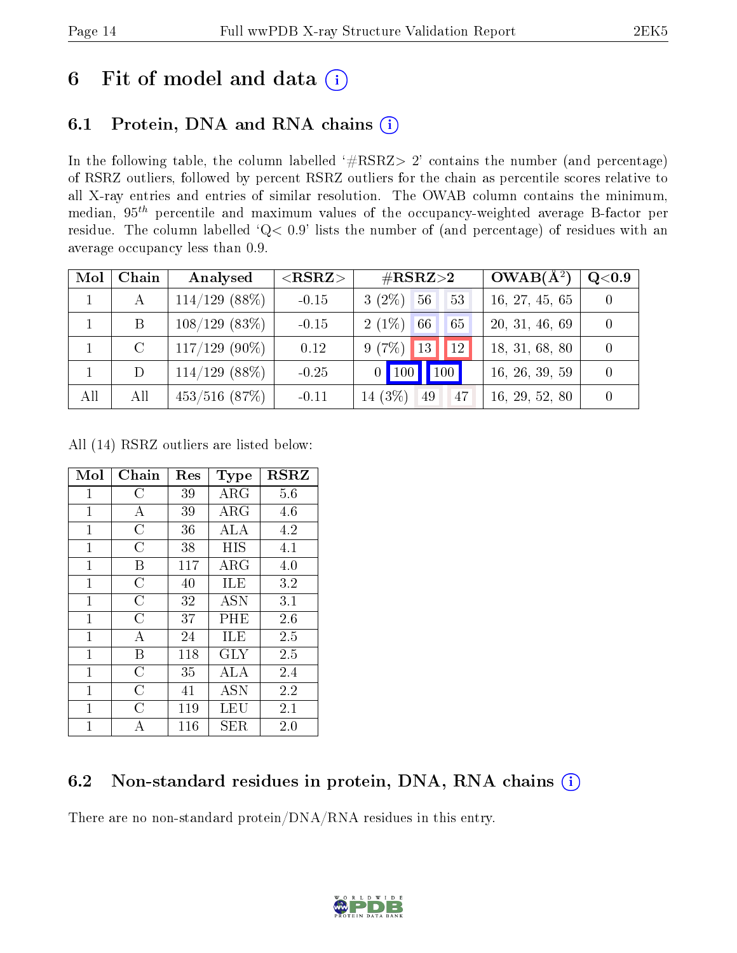# 6 Fit of model and data  $(i)$

# 6.1 Protein, DNA and RNA chains  $(i)$

In the following table, the column labelled  $#RSRZ> 2'$  contains the number (and percentage) of RSRZ outliers, followed by percent RSRZ outliers for the chain as percentile scores relative to all X-ray entries and entries of similar resolution. The OWAB column contains the minimum, median,  $95<sup>th</sup>$  percentile and maximum values of the occupancy-weighted average B-factor per residue. The column labelled ' $Q< 0.9$ ' lists the number of (and percentage) of residues with an average occupancy less than 0.9.

| Mol | Chain         | Analysed         | ${ <\hspace{-1.5pt}{\mathrm{RSRZ}} \hspace{-1.5pt}>}$ | $\rm \#RSRZ{>}2$      | $OWAB(A^2)$    | Q <sub>0.9</sub> |
|-----|---------------|------------------|-------------------------------------------------------|-----------------------|----------------|------------------|
|     |               | $114/129$ (88\%) | $-0.15$                                               | $3(2\%)$<br>56<br>53  | 16, 27, 45, 65 |                  |
|     | B             | $108/129$ (83\%) | $-0.15$                                               | $2(1\%)$<br>66<br>65  | 20, 31, 46, 69 |                  |
|     | $\mathcal{C}$ | $117/129$ (90\%) | 0.12                                                  | 9(7%)<br>13<br> 12    | 18, 31, 68, 80 |                  |
|     | D             | $114/129$ (88\%) | $-0.25$                                               | $0$   100   100       | 16, 26, 39, 59 |                  |
| All | All           | $453/516$ (87\%) | $-0.11$                                               | 14 $(3%)$<br>49<br>47 | 16, 29, 52, 80 |                  |

All (14) RSRZ outliers are listed below:

| Mol            | Chain          | Res | <b>Type</b> | <b>RSRZ</b> |
|----------------|----------------|-----|-------------|-------------|
| $\mathbf{1}$   | C              | 39  | ARG         | 5.6         |
| $\mathbf{1}$   | A              | 39  | ${\rm ARG}$ | 4.6         |
| $\mathbf{1}$   | C              | 36  | ALA         | 4.2         |
| $\overline{1}$ | $\overline{C}$ | 38  | HIS         | 4.1         |
| $\mathbf{1}$   | В              | 117 | $\rm{ARG}$  | 4.0         |
| $\overline{1}$ | $\overline{C}$ | 40  | ILE         | 3.2         |
| $\mathbf{1}$   | C              | 32  | <b>ASN</b>  | 3.1         |
| $\mathbf{1}$   | $\overline{C}$ | 37  | $\rm PHE$   | 2.6         |
| $\mathbf{1}$   | А              | 24  | ILE         | 2.5         |
| $\overline{1}$ | B              | 118 | GLY         | 2.5         |
| $\overline{1}$ | C              | 35  | ALA         | 2.4         |
| 1              | $\overline{C}$ | 41  | ASN         | 2.2         |
| 1              | C              | 119 | LEU         | 2.1         |
| $\overline{1}$ | А              | 116 | SER         | 2.0         |

# 6.2 Non-standard residues in protein, DNA, RNA chains (i)

There are no non-standard protein/DNA/RNA residues in this entry.